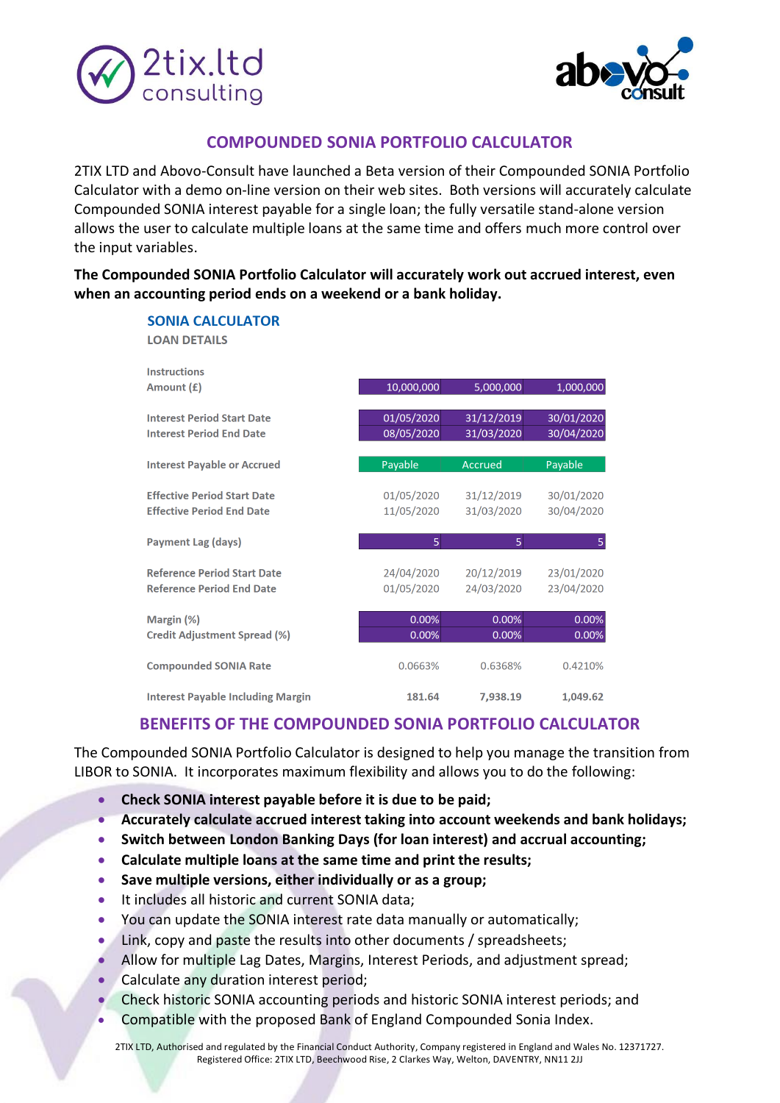



## **COMPOUNDED SONIA PORTFOLIO CALCULATOR**

2TIX LTD and Abovo-Consult have launched a Beta version of their Compounded SONIA Portfolio Calculator with a demo on-line version on their web sites. Both versions will accurately calculate Compounded SONIA interest payable for a single loan; the fully versatile stand-alone version allows the user to calculate multiple loans at the same time and offers much more control over the input variables.

**The Compounded SONIA Portfolio Calculator will accurately work out accrued interest, even when an accounting period ends on a weekend or a bank holiday.** 

| <b>SONIA CALCULATOR</b><br><b>LOAN DETAILS</b>                         |                          |                          |                          |
|------------------------------------------------------------------------|--------------------------|--------------------------|--------------------------|
| <b>Instructions</b><br>Amount (£)                                      | 10,000,000               | 5,000,000                | 1,000,000                |
| <b>Interest Period Start Date</b><br><b>Interest Period End Date</b>   | 01/05/2020<br>08/05/2020 | 31/12/2019<br>31/03/2020 | 30/01/2020<br>30/04/2020 |
| <b>Interest Payable or Accrued</b>                                     | Payable                  | <b>Accrued</b>           | Payable                  |
| <b>Effective Period Start Date</b><br><b>Effective Period End Date</b> | 01/05/2020<br>11/05/2020 | 31/12/2019<br>31/03/2020 | 30/01/2020<br>30/04/2020 |
| <b>Payment Lag (days)</b>                                              | 5                        | 5                        | 5                        |
| <b>Reference Period Start Date</b><br><b>Reference Period End Date</b> | 24/04/2020<br>01/05/2020 | 20/12/2019<br>24/03/2020 | 23/01/2020<br>23/04/2020 |
| Margin (%)<br><b>Credit Adjustment Spread (%)</b>                      | 0.00%<br>0.00%           | 0.00%<br>0.00%           | 0.00%<br>0.00%           |
| <b>Compounded SONIA Rate</b>                                           | 0.0663%                  | 0.6368%                  | 0.4210%                  |
| <b>Interest Pavable Including Margin</b>                               | 181.64                   | 7.938.19                 | 1,049.62                 |

## **BENEFITS OF THE COMPOUNDED SONIA PORTFOLIO CALCULATOR**

The Compounded SONIA Portfolio Calculator is designed to help you manage the transition from LIBOR to SONIA. It incorporates maximum flexibility and allows you to do the following:

- **Check SONIA interest payable before it is due to be paid;**
- **Accurately calculate accrued interest taking into account weekends and bank holidays;**
- **Switch between London Banking Days (for loan interest) and accrual accounting;**
- **Calculate multiple loans at the same time and print the results;**
- **Save multiple versions, either individually or as a group;**
- It includes all historic and current SONIA data;
- You can update the SONIA interest rate data manually or automatically;
- Link, copy and paste the results into other documents / spreadsheets;
- Allow for multiple Lag Dates, Margins, Interest Periods, and adjustment spread;
- Calculate any duration interest period;
- Check historic SONIA accounting periods and historic SONIA interest periods; and
- Compatible with the proposed Bank of England Compounded Sonia Index.